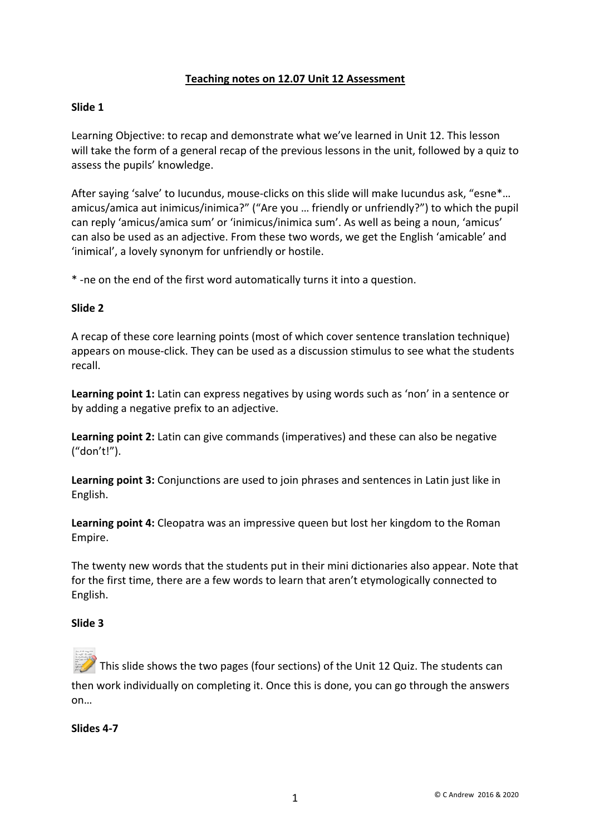# **Teaching notes on 12.07 Unit 12 Assessment**

### **Slide 1**

Learning Objective: to recap and demonstrate what we've learned in Unit 12. This lesson will take the form of a general recap of the previous lessons in the unit, followed by a quiz to assess the pupils' knowledge.

After saying 'salve' to Iucundus, mouse-clicks on this slide will make Iucundus ask, "esne\*... amicus/amica aut inimicus/inimica?" ("Are you … friendly or unfriendly?") to which the pupil can reply 'amicus/amica sum' or 'inimicus/inimica sum'. As well as being a noun, 'amicus' can also be used as an adjective. From these two words, we get the English 'amicable' and 'inimical', a lovely synonym for unfriendly or hostile.

\* -ne on the end of the first word automatically turns it into a question.

#### **Slide 2**

A recap of these core learning points (most of which cover sentence translation technique) appears on mouse-click. They can be used as a discussion stimulus to see what the students recall.

**Learning point 1:** Latin can express negatives by using words such as 'non' in a sentence or by adding a negative prefix to an adjective.

**Learning point 2:** Latin can give commands (imperatives) and these can also be negative ("don't!").

**Learning point 3:** Conjunctions are used to join phrases and sentences in Latin just like in English.

**Learning point 4:** Cleopatra was an impressive queen but lost her kingdom to the Roman Empire.

The twenty new words that the students put in their mini dictionaries also appear. Note that for the first time, there are a few words to learn that aren't etymologically connected to English.

#### **Slide 3**

This slide shows the two pages (four sections) of the Unit 12 Quiz. The students can then work individually on completing it. Once this is done, you can go through the answers on…

#### **Slides 4-7**